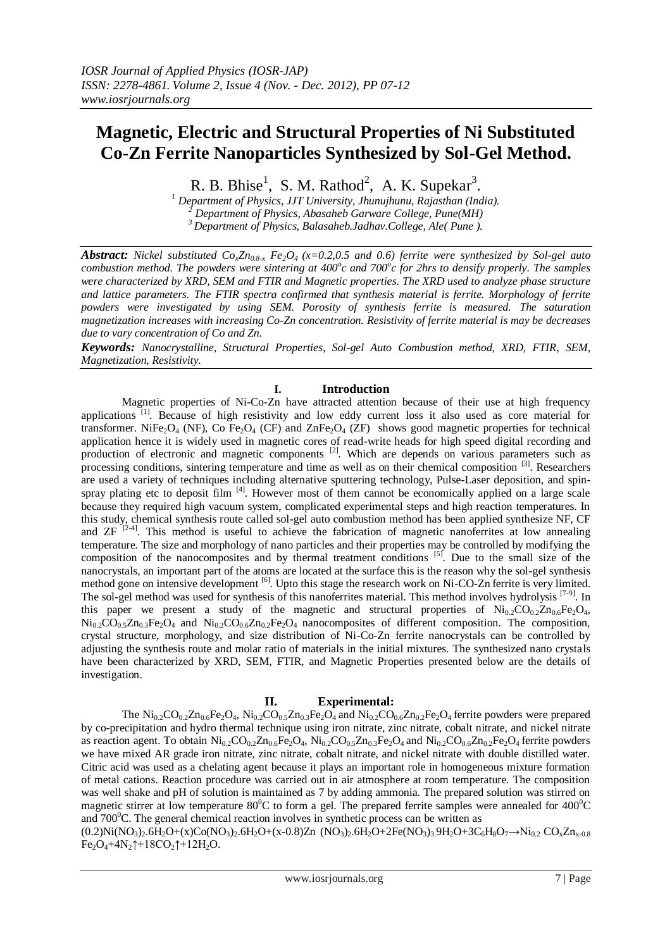# **Magnetic, Electric and Structural Properties of Ni Substituted Co-Zn Ferrite Nanoparticles Synthesized by Sol-Gel Method.**

R. B. Bhise<sup>1</sup>, S. M. Rathod<sup>2</sup>, A. K. Supekar<sup>3</sup>.

*<sup>1</sup> Department of Physics, JJT University, Jhunujhunu, Rajasthan (India). <sup>2</sup> Department of Physics, Abasaheb Garware College, Pune(MH) <sup>3</sup>Department of Physics, Balasaheb.Jadhav.College, Ale( Pune ).*

*Abstract: Nickel substituted*  $Co_2Zn_{0.8-x}$  $Fe_2O_4$  *(x=0.2,0.5 and 0.6) ferrite were synthesized by Sol-gel auto combustion method. The powders were sintering at 400<sup><i>o*</sup>c and 700<sup>*o*</sup>c for 2hrs to densify properly. The samples *were characterized by XRD, SEM and FTIR and Magnetic properties. The XRD used to analyze phase structure and lattice parameters. The FTIR spectra confirmed that synthesis material is ferrite. Morphology of ferrite powders were investigated by using SEM. Porosity of synthesis ferrite is measured. The saturation magnetization increases with increasing Co-Zn concentration. Resistivity of ferrite material is may be decreases due to vary concentration of Co and Zn.*

*Keywords: Nanocrystalline, Structural Properties, Sol-gel Auto Combustion method, XRD, FTIR, SEM, Magnetization, Resistivity.*

## **I. Introduction**

Magnetic properties of Ni-Co-Zn have attracted attention because of their use at high frequency applications<sup>[1]</sup>. Because of high resistivity and low eddy current loss it also used as core material for transformer. NiFe<sub>2</sub>O<sub>4</sub> (NF), Co Fe<sub>2</sub>O<sub>4</sub> (CF) and ZnFe<sub>2</sub>O<sub>4</sub> (ZF) shows good magnetic properties for technical application hence it is widely used in magnetic cores of read-write heads for high speed digital recording and production of electronic and magnetic components <sup>[2]</sup>. Which are depends on various parameters such as processing conditions, sintering temperature and time as well as on their chemical composition [3]. Researchers are used a variety of techniques including alternative sputtering technology, Pulse-Laser deposition, and spinspray plating etc to deposit film <sup>[4]</sup>. However most of them cannot be economically applied on a large scale because they required high vacuum system, complicated experimental steps and high reaction temperatures. In this study, chemical synthesis route called sol-gel auto combustion method has been applied synthesize NF, CF and  $ZF$   $[2-4]$ . This method is useful to achieve the fabrication of magnetic nanoferrites at low annealing temperature. The size and morphology of nano particles and their properties may be controlled by modifying the composition of the nanocomposites and by thermal treatment conditions <sup>[5]</sup>. Due to the small size of the nanocrystals, an important part of the atoms are located at the surface this is the reason why the sol-gel synthesis method gone on intensive development <sup>[6]</sup>. Upto this stage the research work on Ni-CO-Zn ferrite is very limited. The sol-gel method was used for synthesis of this nanoferrites material. This method involves hydrolysis [7-9]. In this paper we present a study of the magnetic and structural properties of  $\text{Ni}_{0.2}\text{CO}_{0.2}\text{Zn}_{0.6}\text{Fe}_2\text{O}_4$ ,  $\text{Ni}_{0.2}\text{CO}_{0.5}\text{Zn}_{0.3}\text{Fe}_{2}\text{O}_{4}$  and  $\text{Ni}_{0.2}\text{CO}_{0.6}\text{Zn}_{0.2}\text{Fe}_{2}\text{O}_{4}$  nanocomposites of different composition. The composition, crystal structure, morphology, and size distribution of Ni-Co-Zn ferrite nanocrystals can be controlled by adjusting the synthesis route and molar ratio of materials in the initial mixtures. The synthesized nano crystals have been characterized by XRD, SEM, FTIR, and Magnetic Properties presented below are the details of investigation.

## **II. Experimental:**

The  $\text{Ni}_{0.2}\text{CO}_{0.2}\text{Zn}_{0.6}\text{Fe}_{2}\text{O}_{4}$ ,  $\text{Ni}_{0.2}\text{CO}_{0.5}\text{Zn}_{0.3}\text{Fe}_{2}\text{O}_{4}$  and  $\text{Ni}_{0.2}\text{CO}_{0.6}\text{Zn}_{0.2}\text{Fe}_{2}\text{O}_{4}$  ferrite powders were prepared by co-precipitation and hydro thermal technique using iron nitrate, zinc nitrate, cobalt nitrate, and nickel nitrate as reaction agent. To obtain  $Ni_{0.2}CO_{0.2}Zn_{0.6}Fe_2O_4$ ,  $Ni_{0.2}CO_{0.5}Zn_{0.3}Fe_2O_4$  and  $Ni_{0.2}CO_{0.6}Zn_{0.2}Fe_2O_4$  ferrite powders we have mixed AR grade iron nitrate, zinc nitrate, cobalt nitrate, and nickel nitrate with double distilled water. Citric acid was used as a chelating agent because it plays an important role in homogeneous mixture formation of metal cations. Reaction procedure was carried out in air atmosphere at room temperature. The composition was well shake and pH of solution is maintained as 7 by adding ammonia. The prepared solution was stirred on magnetic stirrer at low temperature 80<sup>°</sup>C to form a gel. The prepared ferrite samples were annealed for  $400^{\circ}$ °C and  $700^{\circ}$ C. The general chemical reaction involves in synthetic process can be written as

 $(0.2)$ Ni $(NO_3)_2.6H_2O+(x)Co(NO_3)_2.6H_2O+(x-0.8)Zn (NO_3)_2.6H_2O+2Fe(NO_3)_3.9H_2O+3C_6H_8O_7 \rightarrow Ni_{0.2} CO_8 Zn_{x-0.8}$  $Fe<sub>2</sub>O<sub>4</sub>+4N<sub>2</sub>†+18CO<sub>2</sub>†+12H<sub>2</sub>O.$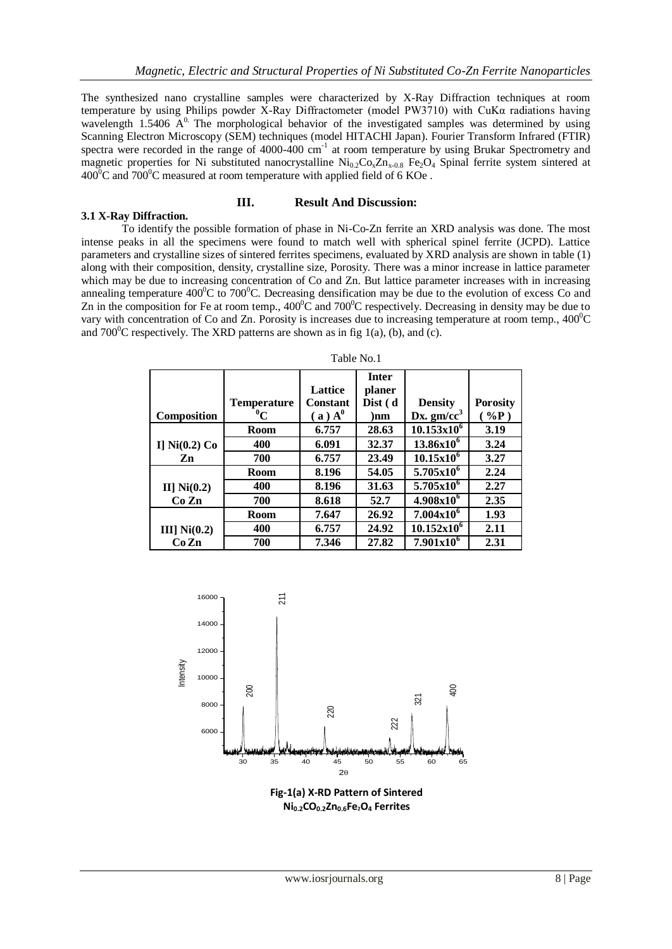The synthesized nano crystalline samples were characterized by X-Ray Diffraction techniques at room temperature by using Philips powder X-Ray Diffractometer (model PW3710) with CuK $\alpha$  radiations having wavelength 1.5406  $A^0$ . The morphological behavior of the investigated samples was determined by using Scanning Electron Microscopy (SEM) techniques (model HITACHI Japan). Fourier Transform Infrared (FTIR) spectra were recorded in the range of 4000-400 cm<sup>-1</sup> at room temperature by using Brukar Spectrometry and magnetic properties for Ni substituted nanocrystalline  $Ni_{0.2}Co_{8}Zn_{x-0.8}$  Fe<sub>2</sub>O<sub>4</sub> Spinal ferrite system sintered at  $400^{\circ}$ C and  $700^{\circ}$ C measured at room temperature with applied field of 6 KOe.

### **III. Result And Discussion:**

**3.1 X-Ray Diffraction.** To identify the possible formation of phase in Ni-Co-Zn ferrite an XRD analysis was done. The most intense peaks in all the specimens were found to match well with spherical spinel ferrite (JCPD). Lattice parameters and crystalline sizes of sintered ferrites specimens, evaluated by XRD analysis are shown in table (1) along with their composition, density, crystalline size, Porosity. There was a minor increase in lattice parameter which may be due to increasing concentration of Co and Zn. But lattice parameter increases with in increasing annealing temperature  $400^{\circ}$ C to 700<sup>°</sup>C. Decreasing densification may be due to the evolution of excess Co and Zn in the composition for Fe at room temp.,  $400^{\circ}$ C and  $700^{\circ}$ C respectively. Decreasing in density may be due to vary with concentration of Co and Zn. Porosity is increases due to increasing temperature at room temp.,  $400^{\circ}$ C and  $700^{\circ}$ C respectively. The XRD patterns are shown as in fig 1(a), (b), and (c).

|                    |                               | <b>Lattice</b>                        | <b>Inter</b><br>planer |                                 |                           |
|--------------------|-------------------------------|---------------------------------------|------------------------|---------------------------------|---------------------------|
| <b>Composition</b> | <b>Temperature</b><br>$^0\!C$ | <b>Constant</b><br>(a) A <sup>0</sup> | Dist (d<br>)nm         | <b>Density</b><br>Dx. $gm/cc^3$ | <b>Porosity</b><br>$%$ P) |
|                    | Room                          | 6.757                                 | 28.63                  | $10.153x10^6$                   | 3.19                      |
| I] $Ni(0.2) Co$    | 400                           | 6.091                                 | 32.37                  | $13.86x10^6$                    | 3.24                      |
| Zn                 | 700                           | 6.757                                 | 23.49                  | $10.15x10^6$                    | 3.27                      |
|                    | <b>Room</b>                   | 8.196                                 | 54.05                  | $5.705x10^{6}$                  | 2.24                      |
| II] $Ni(0.2)$      | 400                           | 8.196                                 | 31.63                  | $5.705x10^{6}$                  | 2.27                      |
| Co Zn              | 700                           | 8.618                                 | 52.7                   | $4.908x10^{6}$                  | 2.35                      |
|                    | <b>Room</b>                   | 7.647                                 | 26.92                  | $7.004x10^6$                    | 1.93                      |
| III] $Ni(0.2)$     | 400                           | 6.757                                 | 24.92                  | $10.152x10^6$                   | 2.11                      |
| CoZn               | 700                           | 7.346                                 | 27.82                  | $7.901x10^6$                    | 2.31                      |

Table No.1



**Ni0.2CO0.2Zn0.6Fe2O<sup>4</sup> Ferrites**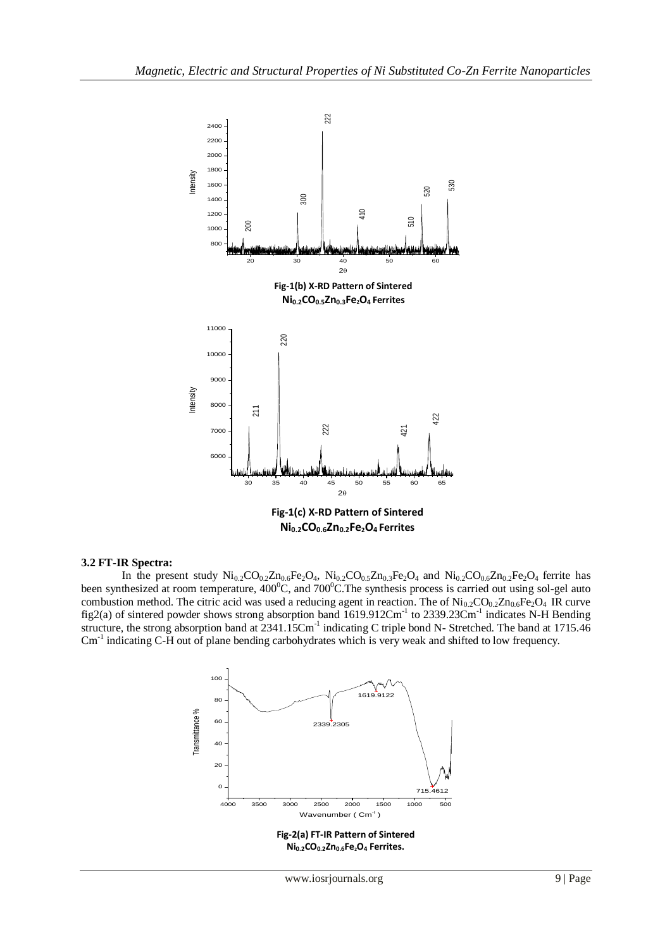

#### **3.2 FT-IR Spectra:**

In the present study  $Ni_{0.2}CO_{0.2}Zn_{0.6}Fe_2O_4$ ,  $Ni_{0.2}CO_{0.5}Zn_{0.3}Fe_2O_4$  and  $Ni_{0.2}CO_{0.6}Zn_{0.2}Fe_2O_4$  ferrite has been synthesized at room temperature,  $400^{\circ}$ C, and  $700^{\circ}$ C. The synthesis process is carried out using sol-gel auto combustion method. The citric acid was used a reducing agent in reaction. The of  $\text{Ni}_{0.2}\text{CO}_{0.2}\text{Zn}_{0.6}\text{Fe}_2\text{O}_4$  IR curve fig2(a) of sintered powder shows strong absorption band  $1619.912 \text{Cm}^{-1}$  to 2339.23 $\text{Cm}^{-1}$  indicates N-H Bending structure, the strong absorption band at 2341.15Cm<sup>-1</sup> indicating C triple bond N- Stretched. The band at 1715.46 Cm<sup>-1</sup> indicating C-H out of plane bending carbohydrates which is very weak and shifted to low frequency.

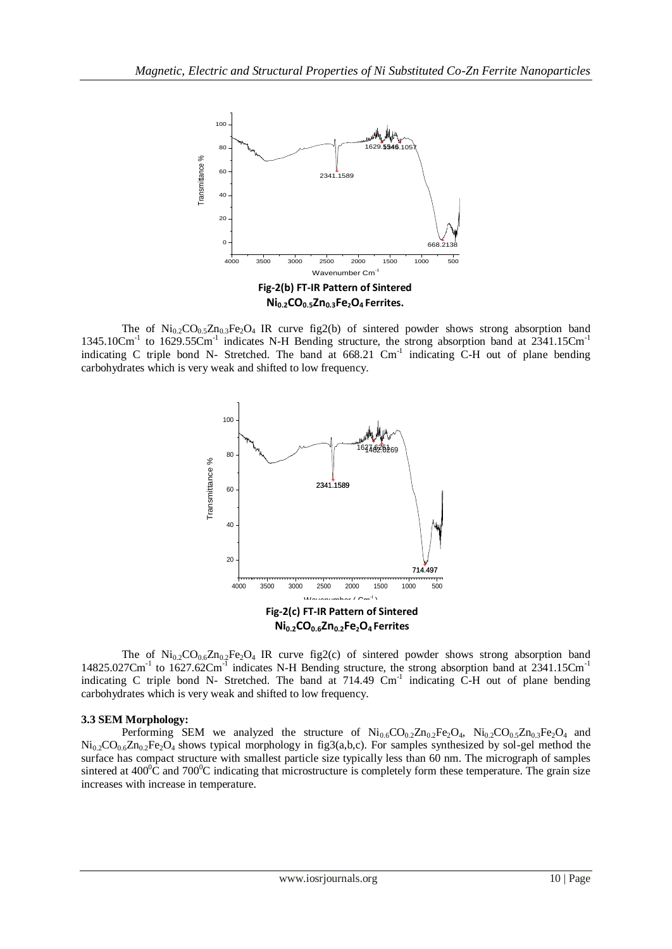

The of  $\text{Ni}_{0.2}\text{CO}_{0.5}\text{Zn}_{0.3}\text{Fe}_2\text{O}_4$  IR curve fig2(b) of sintered powder shows strong absorption band 1345.10Cm<sup>-1</sup> to 1629.55Cm<sup>-1</sup> indicates N-H Bending structure, the strong absorption band at 2341.15Cm<sup>-1</sup> indicating C triple bond N- Stretched. The band at 668.21 Cm<sup>-1</sup> indicating C-H out of plane bending carbohydrates which is very weak and shifted to low frequency.



The of  $\text{Ni}_{0.2}\text{CO}_{0.6}\text{Zn}_{0.2}\text{Fe}_2\text{O}_4$  IR curve fig2(c) of sintered powder shows strong absorption band 14825.027Cm<sup>-1</sup> to 1627.62Cm<sup>-1</sup> indicates N-H Bending structure, the strong absorption band at 2341.15Cm<sup>-1</sup> indicating C triple bond N- Stretched. The band at 714.49 Cm<sup>-1</sup> indicating C-H out of plane bending carbohydrates which is very weak and shifted to low frequency.

#### **3.3 SEM Morphology:**

Performing SEM we analyzed the structure of  $Ni_{0.6}CO_{0.2}Zn_{0.2}Fe_2O_4$ ,  $Ni_{0.2}CO_{0.5}Zn_{0.3}Fe_2O_4$  and  $Ni_{0.2}CO_{0.6}Zn_{0.2}Fe_2O_4$  shows typical morphology in fig3(a,b,c). For samples synthesized by sol-gel method the surface has compact structure with smallest particle size typically less than 60 nm. The micrograph of samples sintered at  $400^{\circ}$ C and  $700^{\circ}$ C indicating that microstructure is completely form these temperature. The grain size increases with increase in temperature.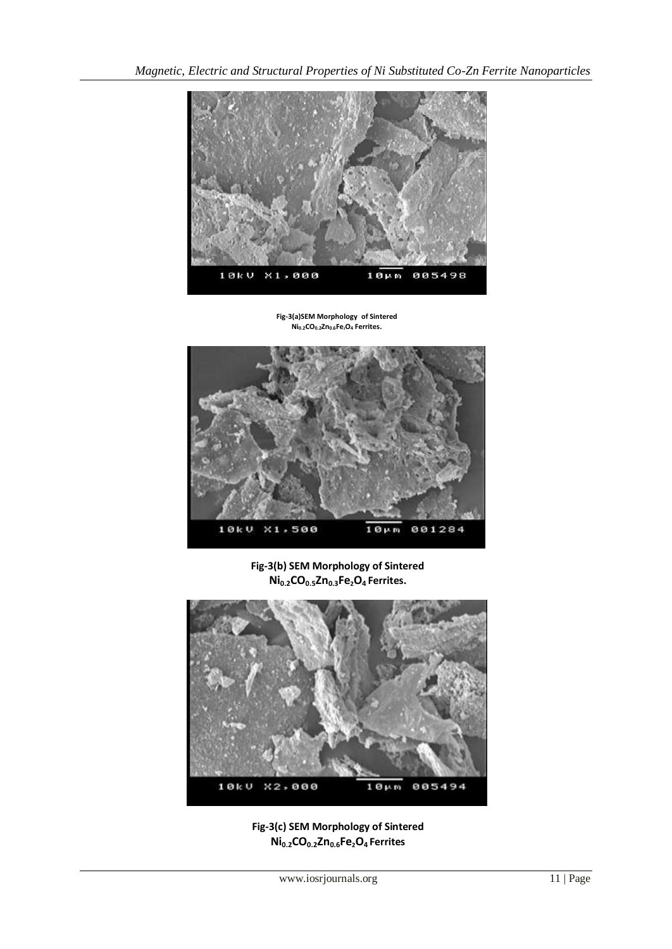

**Fig-3(a)SEM Morphology of Sintered Ni0.2CO0.2Zn0.6Fe2O<sup>4</sup> Ferrites.**



**Fig-3(b) SEM Morphology of Sintered Ni0.2CO0.5Zn0.3Fe2O4 Ferrites.**



**Fig-3(c) SEM Morphology of Sintered Ni0.2CO0.2Zn0.6Fe2O4 Ferrites**